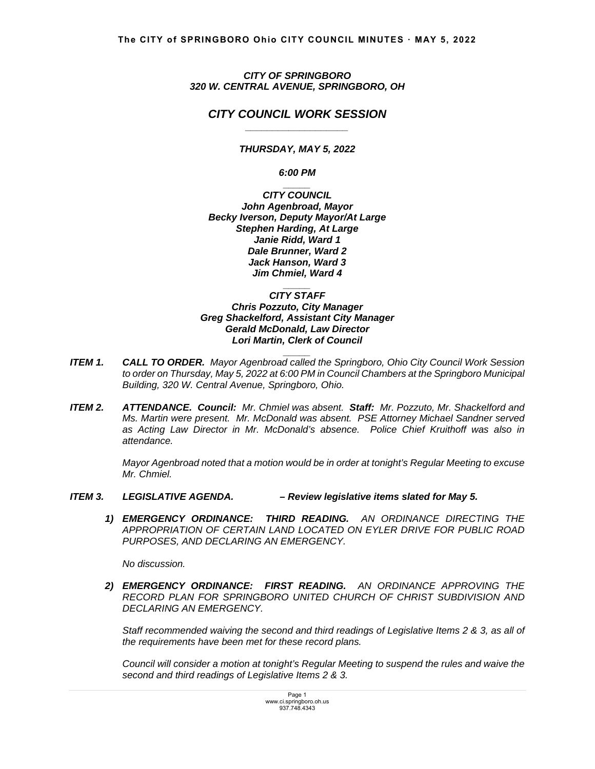*CITY OF SPRINGBORO 320 W. CENTRAL AVENUE, SPRINGBORO, OH* 

# *CITY COUNCIL WORK SESSION \_\_\_\_\_\_\_\_\_\_\_\_\_\_\_\_\_\_\_*

*THURSDAY, MAY 5, 2022* 

*6:00 PM \_\_\_\_\_*

*CITY COUNCIL John Agenbroad, Mayor Becky Iverson, Deputy Mayor/At Large Stephen Harding, At Large Janie Ridd, Ward 1 Dale Brunner, Ward 2 Jack Hanson, Ward 3 Jim Chmiel, Ward 4* 

*\_\_\_\_\_ CITY STAFF Chris Pozzuto, City Manager Greg Shackelford, Assistant City Manager Gerald McDonald, Law Director Lori Martin, Clerk of Council* 

*ITEM 1. CALL TO ORDER. Mayor Agenbroad called the Springboro, Ohio City Council Work Session to order on Thursday, May 5, 2022 at 6:00 PM in Council Chambers at the Springboro Municipal Building, 320 W. Central Avenue, Springboro, Ohio.*

*\_\_\_\_\_*

*ITEM 2. ATTENDANCE. Council: Mr. Chmiel was absent. Staff: Mr. Pozzuto, Mr. Shackelford and Ms. Martin were present. Mr. McDonald was absent. PSE Attorney Michael Sandner served as Acting Law Director in Mr. McDonald's absence. Police Chief Kruithoff was also in attendance.*

> *Mayor Agenbroad noted that a motion would be in order at tonight's Regular Meeting to excuse Mr. Chmiel.*

- *ITEM 3. LEGISLATIVE AGENDA. Review legislative items slated for May 5.* 
	- *1) EMERGENCY ORDINANCE: THIRD READING. AN ORDINANCE DIRECTING THE APPROPRIATION OF CERTAIN LAND LOCATED ON EYLER DRIVE FOR PUBLIC ROAD PURPOSES, AND DECLARING AN EMERGENCY.*

 *No discussion.* 

*2) EMERGENCY ORDINANCE: FIRST READING. AN ORDINANCE APPROVING THE RECORD PLAN FOR SPRINGBORO UNITED CHURCH OF CHRIST SUBDIVISION AND DECLARING AN EMERGENCY.* 

*Staff recommended waiving the second and third readings of Legislative Items 2 & 3, as all of the requirements have been met for these record plans.* 

 *Council will consider a motion at tonight's Regular Meeting to suspend the rules and waive the second and third readings of Legislative Items 2 & 3.*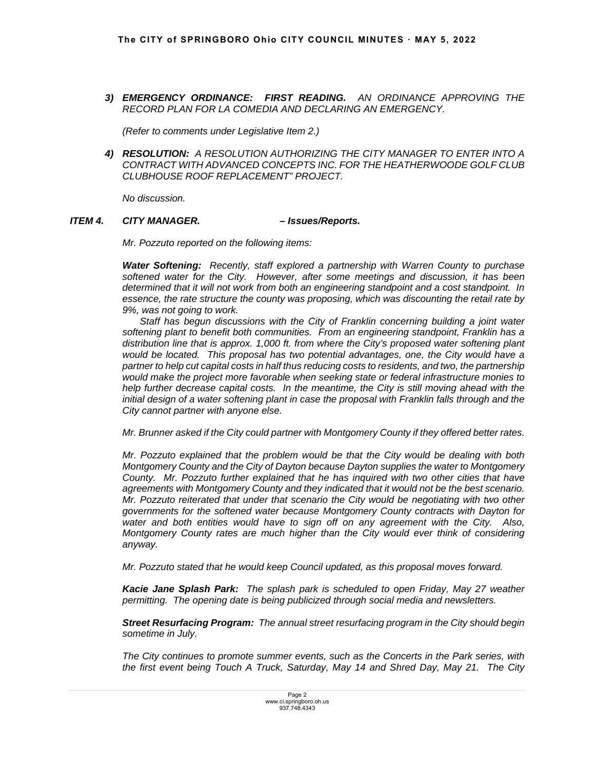*3) EMERGENCY ORDINANCE: FIRST READING. AN ORDINANCE APPROVING THE RECORD PLAN FOR LA COMEDIA AND DECLARING AN EMERGENCY.* 

 *(Refer to comments under Legislative Item 2.)*

*4) RESOLUTION: A RESOLUTION AUTHORIZING THE CITY MANAGER TO ENTER INTO A CONTRACT WITH ADVANCED CONCEPTS INC. FOR THE HEATHERWOODE GOLF CLUB CLUBHOUSE ROOF REPLACEMENT" PROJECT.* 

*No discussion.*

## *ITEM 4. CITY MANAGER. – Issues/Reports.*

 *Mr. Pozzuto reported on the following items:* 

*Water Softening: Recently, staff explored a partnership with Warren County to purchase softened water for the City. However, after some meetings and discussion, it has been determined that it will not work from both an engineering standpoint and a cost standpoint. In essence, the rate structure the county was proposing, which was discounting the retail rate by 9%, was not going to work.* 

 *Staff has begun discussions with the City of Franklin concerning building a joint water softening plant to benefit both communities. From an engineering standpoint, Franklin has a distribution line that is approx. 1,000 ft. from where the City's proposed water softening plant would be located. This proposal has two potential advantages, one, the City would have a partner to help cut capital costs in half thus reducing costs to residents, and two, the partnership would make the project more favorable when seeking state or federal infrastructure monies to help further decrease capital costs. In the meantime, the City is still moving ahead with the initial design of a water softening plant in case the proposal with Franklin falls through and the City cannot partner with anyone else.* 

 *Mr. Brunner asked if the City could partner with Montgomery County if they offered better rates.* 

 *Mr. Pozzuto explained that the problem would be that the City would be dealing with both Montgomery County and the City of Dayton because Dayton supplies the water to Montgomery County. Mr. Pozzuto further explained that he has inquired with two other cities that have agreements with Montgomery County and they indicated that it would not be the best scenario. Mr. Pozzuto reiterated that under that scenario the City would be negotiating with two other governments for the softened water because Montgomery County contracts with Dayton for water and both entities would have to sign off on any agreement with the City. Also, Montgomery County rates are much higher than the City would ever think of considering anyway.* 

 *Mr. Pozzuto stated that he would keep Council updated, as this proposal moves forward.* 

*Kacie Jane Splash Park: The splash park is scheduled to open Friday, May 27 weather permitting. The opening date is being publicized through social media and newsletters.*

*Street Resurfacing Program: The annual street resurfacing program in the City should begin sometime in July.* 

*The City continues to promote summer events, such as the Concerts in the Park series, with the first event being Touch A Truck, Saturday, May 14 and Shred Day, May 21. The City*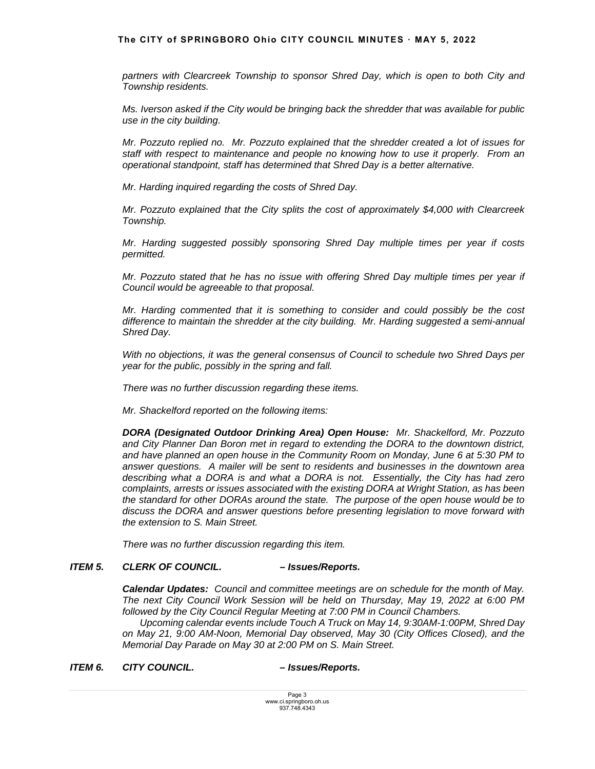#### **The CITY of SPRINGBORO Ohio CITY COUNCIL MINUTES ꞏ MAY 5, 2022**

partners with Clearcreek Township to sponsor Shred Day, which is open to both City and *Township residents.* 

 *Ms. Iverson asked if the City would be bringing back the shredder that was available for public use in the city building.* 

 *Mr. Pozzuto replied no. Mr. Pozzuto explained that the shredder created a lot of issues for staff with respect to maintenance and people no knowing how to use it properly. From an operational standpoint, staff has determined that Shred Day is a better alternative.* 

 *Mr. Harding inquired regarding the costs of Shred Day.* 

 *Mr. Pozzuto explained that the City splits the cost of approximately \$4,000 with Clearcreek Township.* 

 *Mr. Harding suggested possibly sponsoring Shred Day multiple times per year if costs permitted.* 

 *Mr. Pozzuto stated that he has no issue with offering Shred Day multiple times per year if Council would be agreeable to that proposal.* 

 *Mr. Harding commented that it is something to consider and could possibly be the cost difference to maintain the shredder at the city building. Mr. Harding suggested a semi-annual Shred Day.* 

 *With no objections, it was the general consensus of Council to schedule two Shred Days per year for the public, possibly in the spring and fall.* 

*There was no further discussion regarding these items.* 

*Mr. Shackelford reported on the following items:* 

*DORA (Designated Outdoor Drinking Area) Open House: Mr. Shackelford, Mr. Pozzuto and City Planner Dan Boron met in regard to extending the DORA to the downtown district, and have planned an open house in the Community Room on Monday, June 6 at 5:30 PM to answer questions. A mailer will be sent to residents and businesses in the downtown area describing what a DORA is and what a DORA is not. Essentially, the City has had zero complaints, arrests or issues associated with the existing DORA at Wright Station, as has been the standard for other DORAs around the state. The purpose of the open house would be to discuss the DORA and answer questions before presenting legislation to move forward with the extension to S. Main Street.*

*There was no further discussion regarding this item.* 

# *ITEM 5. CLERK OF COUNCIL. – Issues/Reports.*

 *Calendar Updates: Council and committee meetings are on schedule for the month of May. The next City Council Work Session will be held on Thursday, May 19, 2022 at 6:00 PM followed by the City Council Regular Meeting at 7:00 PM in Council Chambers.* 

 *Upcoming calendar events include Touch A Truck on May 14, 9:30AM-1:00PM, Shred Day on May 21, 9:00 AM-Noon, Memorial Day observed, May 30 (City Offices Closed), and the Memorial Day Parade on May 30 at 2:00 PM on S. Main Street.* 

*ITEM 6. CITY COUNCIL. – Issues/Reports.*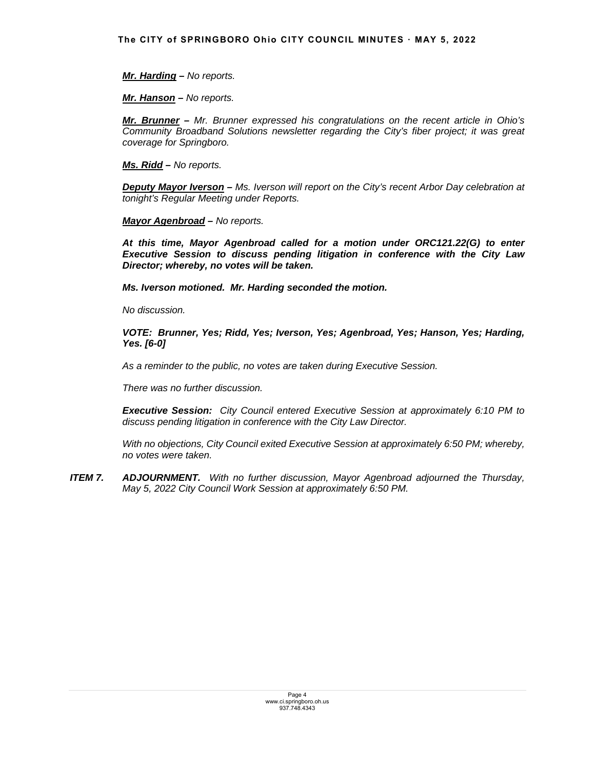*Mr. Harding – No reports.* 

*Mr. Hanson – No reports.* 

*Mr. Brunner – Mr. Brunner expressed his congratulations on the recent article in Ohio's Community Broadband Solutions newsletter regarding the City's fiber project; it was great coverage for Springboro.* 

*Ms. Ridd – No reports.*

*Deputy Mayor Iverson – Ms. Iverson will report on the City's recent Arbor Day celebration at tonight's Regular Meeting under Reports.* 

*Mayor Agenbroad – No reports.* 

*At this time, Mayor Agenbroad called for a motion under ORC121.22(G) to enter Executive Session to discuss pending litigation in conference with the City Law Director; whereby, no votes will be taken.* 

*Ms. Iverson motioned. Mr. Harding seconded the motion.* 

 *No discussion.* 

*VOTE: Brunner, Yes; Ridd, Yes; Iverson, Yes; Agenbroad, Yes; Hanson, Yes; Harding, Yes. [6-0]* 

*As a reminder to the public, no votes are taken during Executive Session.* 

*There was no further discussion.* 

*Executive Session: City Council entered Executive Session at approximately 6:10 PM to discuss pending litigation in conference with the City Law Director.*

*With no objections, City Council exited Executive Session at approximately 6:50 PM; whereby, no votes were taken.* 

*ITEM 7. ADJOURNMENT. With no further discussion, Mayor Agenbroad adjourned the Thursday, May 5, 2022 City Council Work Session at approximately 6:50 PM.*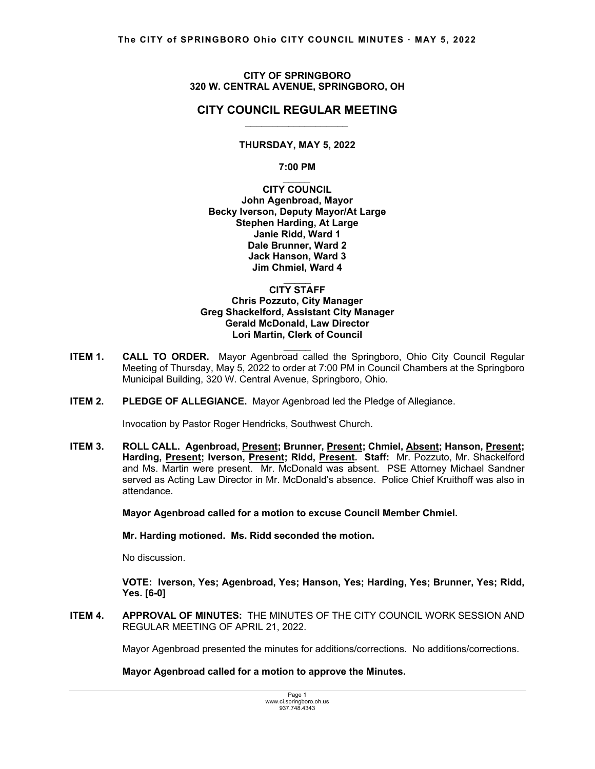## **CITY OF SPRINGBORO 320 W. CENTRAL AVENUE, SPRINGBORO, OH**

# **CITY COUNCIL REGULAR MEETING** *\_\_\_\_\_\_\_\_\_\_\_\_\_\_\_\_\_\_\_*

## **THURSDAY, MAY 5, 2022**

**7:00 PM** 

*\_\_\_\_\_* **CITY COUNCIL John Agenbroad, Mayor Becky Iverson, Deputy Mayor/At Large Stephen Harding, At Large Janie Ridd, Ward 1 Dale Brunner, Ward 2 Jack Hanson, Ward 3 Jim Chmiel, Ward 4** 

#### $\mathcal{L}=\mathcal{L}$ **CITY STAFF Chris Pozzuto, City Manager Greg Shackelford, Assistant City Manager Gerald McDonald, Law Director Lori Martin, Clerk of Council**

**ITEM 1. CALL TO ORDER.** Mayor Agenbroad called the Springboro, Ohio City Council Regular Meeting of Thursday, May 5, 2022 to order at 7:00 PM in Council Chambers at the Springboro Municipal Building, 320 W. Central Avenue, Springboro, Ohio.

 $\mathcal{L}=\mathcal{L}$ 

**ITEM 2. PLEDGE OF ALLEGIANCE.** Mayor Agenbroad led the Pledge of Allegiance.

Invocation by Pastor Roger Hendricks, Southwest Church.

**ITEM 3. ROLL CALL. Agenbroad, Present; Brunner, Present; Chmiel, Absent; Hanson, Present;**  Harding, Present; Iverson, Present; Ridd, Present. Staff: Mr. Pozzuto, Mr. Shackelford and Ms. Martin were present. Mr. McDonald was absent. PSE Attorney Michael Sandner served as Acting Law Director in Mr. McDonald's absence. Police Chief Kruithoff was also in attendance.

 **Mayor Agenbroad called for a motion to excuse Council Member Chmiel.** 

 **Mr. Harding motioned. Ms. Ridd seconded the motion.** 

No discussion.

 **VOTE: Iverson, Yes; Agenbroad, Yes; Hanson, Yes; Harding, Yes; Brunner, Yes; Ridd, Yes. [6-0]** 

**ITEM 4. APPROVAL OF MINUTES:** THE MINUTES OF THE CITY COUNCIL WORK SESSION AND REGULAR MEETING OF APRIL 21, 2022.

Mayor Agenbroad presented the minutes for additions/corrections. No additions/corrections.

**Mayor Agenbroad called for a motion to approve the Minutes.**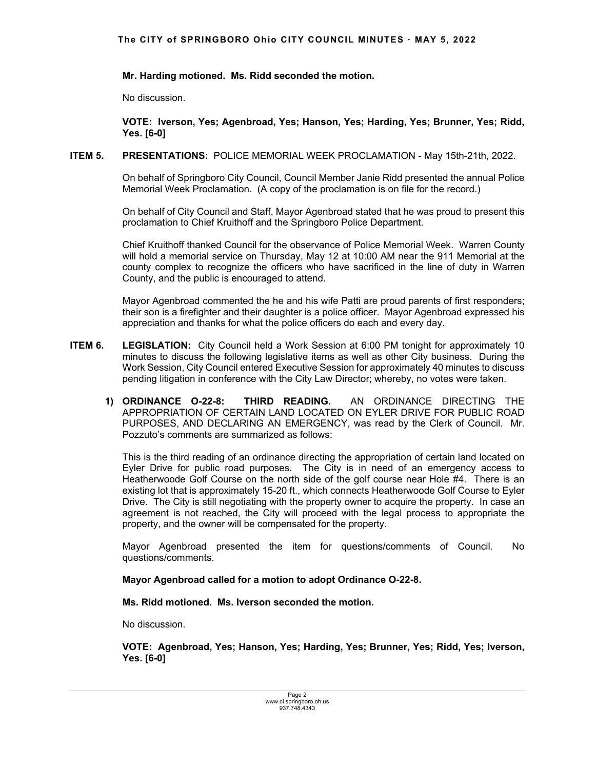# **Mr. Harding motioned. Ms. Ridd seconded the motion.**

No discussion.

 **VOTE: Iverson, Yes; Agenbroad, Yes; Hanson, Yes; Harding, Yes; Brunner, Yes; Ridd, Yes. [6-0]** 

## **ITEM 5. PRESENTATIONS:** POLICE MEMORIAL WEEK PROCLAMATION - May 15th-21th, 2022.

 On behalf of Springboro City Council, Council Member Janie Ridd presented the annual Police Memorial Week Proclamation. (A copy of the proclamation is on file for the record.)

 On behalf of City Council and Staff, Mayor Agenbroad stated that he was proud to present this proclamation to Chief Kruithoff and the Springboro Police Department.

 Chief Kruithoff thanked Council for the observance of Police Memorial Week. Warren County will hold a memorial service on Thursday, May 12 at 10:00 AM near the 911 Memorial at the county complex to recognize the officers who have sacrificed in the line of duty in Warren County, and the public is encouraged to attend.

 Mayor Agenbroad commented the he and his wife Patti are proud parents of first responders; their son is a firefighter and their daughter is a police officer. Mayor Agenbroad expressed his appreciation and thanks for what the police officers do each and every day.

- **ITEM 6. LEGISLATION:** City Council held a Work Session at 6:00 PM tonight for approximately 10 minutes to discuss the following legislative items as well as other City business. During the Work Session, City Council entered Executive Session for approximately 40 minutes to discuss pending litigation in conference with the City Law Director; whereby, no votes were taken.
	- **1) ORDINANCE O-22-8: THIRD READING.** AN ORDINANCE DIRECTING THE APPROPRIATION OF CERTAIN LAND LOCATED ON EYLER DRIVE FOR PUBLIC ROAD PURPOSES, AND DECLARING AN EMERGENCY, was read by the Clerk of Council. Mr. Pozzuto's comments are summarized as follows:

 This is the third reading of an ordinance directing the appropriation of certain land located on Eyler Drive for public road purposes. The City is in need of an emergency access to Heatherwoode Golf Course on the north side of the golf course near Hole #4. There is an existing lot that is approximately 15-20 ft., which connects Heatherwoode Golf Course to Eyler Drive. The City is still negotiating with the property owner to acquire the property. In case an agreement is not reached, the City will proceed with the legal process to appropriate the property, and the owner will be compensated for the property.

Mayor Agenbroad presented the item for questions/comments of Council. No questions/comments.

**Mayor Agenbroad called for a motion to adopt Ordinance O-22-8.** 

 **Ms. Ridd motioned. Ms. Iverson seconded the motion.** 

No discussion.

**VOTE: Agenbroad, Yes; Hanson, Yes; Harding, Yes; Brunner, Yes; Ridd, Yes; Iverson, Yes. [6-0]**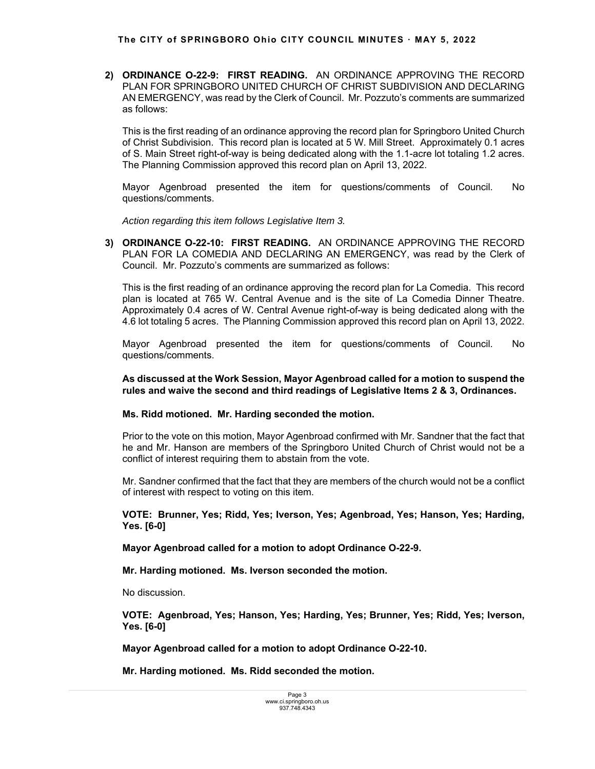**2) ORDINANCE O-22-9: FIRST READING.** AN ORDINANCE APPROVING THE RECORD PLAN FOR SPRINGBORO UNITED CHURCH OF CHRIST SUBDIVISION AND DECLARING AN EMERGENCY, was read by the Clerk of Council. Mr. Pozzuto's comments are summarized as follows:

This is the first reading of an ordinance approving the record plan for Springboro United Church of Christ Subdivision. This record plan is located at 5 W. Mill Street. Approximately 0.1 acres of S. Main Street right-of-way is being dedicated along with the 1.1-acre lot totaling 1.2 acres. The Planning Commission approved this record plan on April 13, 2022.

Mayor Agenbroad presented the item for questions/comments of Council. No questions/comments.

 *Action regarding this item follows Legislative Item 3.* 

**3) ORDINANCE O-22-10: FIRST READING.** AN ORDINANCE APPROVING THE RECORD PLAN FOR LA COMEDIA AND DECLARING AN EMERGENCY, was read by the Clerk of Council. Mr. Pozzuto's comments are summarized as follows:

 This is the first reading of an ordinance approving the record plan for La Comedia. This record plan is located at 765 W. Central Avenue and is the site of La Comedia Dinner Theatre. Approximately 0.4 acres of W. Central Avenue right-of-way is being dedicated along with the 4.6 lot totaling 5 acres. The Planning Commission approved this record plan on April 13, 2022.

Mayor Agenbroad presented the item for questions/comments of Council. No questions/comments.

 **As discussed at the Work Session, Mayor Agenbroad called for a motion to suspend the rules and waive the second and third readings of Legislative Items 2 & 3, Ordinances.** 

## **Ms. Ridd motioned. Mr. Harding seconded the motion.**

Prior to the vote on this motion, Mayor Agenbroad confirmed with Mr. Sandner that the fact that he and Mr. Hanson are members of the Springboro United Church of Christ would not be a conflict of interest requiring them to abstain from the vote.

 Mr. Sandner confirmed that the fact that they are members of the church would not be a conflict of interest with respect to voting on this item.

**VOTE: Brunner, Yes; Ridd, Yes; Iverson, Yes; Agenbroad, Yes; Hanson, Yes; Harding, Yes. [6-0]** 

**Mayor Agenbroad called for a motion to adopt Ordinance O-22-9.** 

 **Mr. Harding motioned. Ms. Iverson seconded the motion.** 

No discussion.

**VOTE: Agenbroad, Yes; Hanson, Yes; Harding, Yes; Brunner, Yes; Ridd, Yes; Iverson, Yes. [6-0]** 

**Mayor Agenbroad called for a motion to adopt Ordinance O-22-10.**

 **Mr. Harding motioned. Ms. Ridd seconded the motion.**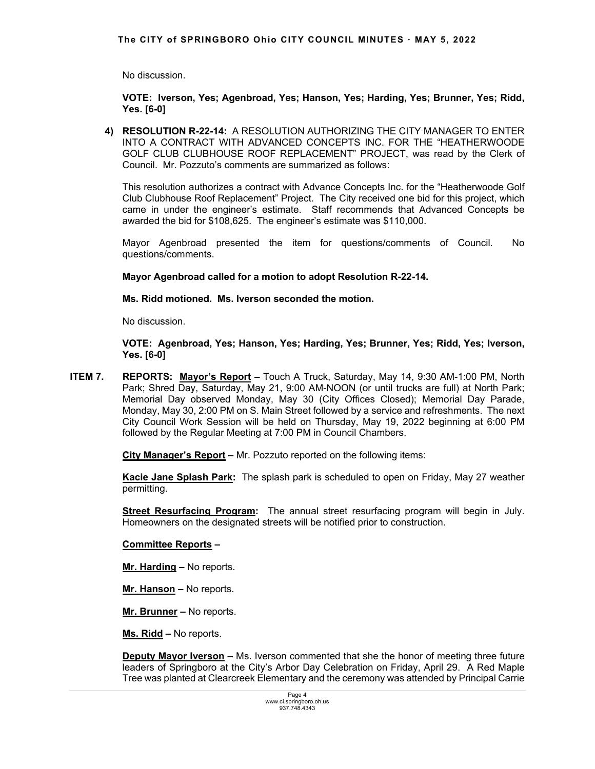No discussion.

**VOTE: Iverson, Yes; Agenbroad, Yes; Hanson, Yes; Harding, Yes; Brunner, Yes; Ridd, Yes. [6-0]**

**4) RESOLUTION R-22-14:** A RESOLUTION AUTHORIZING THE CITY MANAGER TO ENTER INTO A CONTRACT WITH ADVANCED CONCEPTS INC. FOR THE "HEATHERWOODE GOLF CLUB CLUBHOUSE ROOF REPLACEMENT" PROJECT, was read by the Clerk of Council. Mr. Pozzuto's comments are summarized as follows:

This resolution authorizes a contract with Advance Concepts Inc. for the "Heatherwoode Golf Club Clubhouse Roof Replacement" Project. The City received one bid for this project, which came in under the engineer's estimate. Staff recommends that Advanced Concepts be awarded the bid for \$108,625. The engineer's estimate was \$110,000.

Mayor Agenbroad presented the item for questions/comments of Council. No questions/comments.

**Mayor Agenbroad called for a motion to adopt Resolution R-22-14.** 

 **Ms. Ridd motioned. Ms. Iverson seconded the motion.** 

No discussion.

**VOTE: Agenbroad, Yes; Hanson, Yes; Harding, Yes; Brunner, Yes; Ridd, Yes; Iverson, Yes. [6-0]**

**ITEM 7. REPORTS: Mayor's Report –** Touch A Truck, Saturday, May 14, 9:30 AM-1:00 PM, North Park; Shred Day, Saturday, May 21, 9:00 AM-NOON (or until trucks are full) at North Park; Memorial Day observed Monday, May 30 (City Offices Closed); Memorial Day Parade, Monday, May 30, 2:00 PM on S. Main Street followed by a service and refreshments.The next City Council Work Session will be held on Thursday, May 19, 2022 beginning at 6:00 PM followed by the Regular Meeting at 7:00 PM in Council Chambers.

 **City Manager's Report –** Mr. Pozzuto reported on the following items:

**Kacie Jane Splash Park:** The splash park is scheduled to open on Friday, May 27 weather permitting.

**Street Resurfacing Program:** The annual street resurfacing program will begin in July. Homeowners on the designated streets will be notified prior to construction.

## **Committee Reports –**

**Mr. Harding –** No reports.

**Mr. Hanson –** No reports.

**Mr. Brunner –** No reports.

**Ms. Ridd –** No reports.

**Deputy Mayor Iverson –** Ms. Iverson commented that she the honor of meeting three future leaders of Springboro at the City's Arbor Day Celebration on Friday, April 29. A Red Maple Tree was planted at Clearcreek Elementary and the ceremony was attended by Principal Carrie